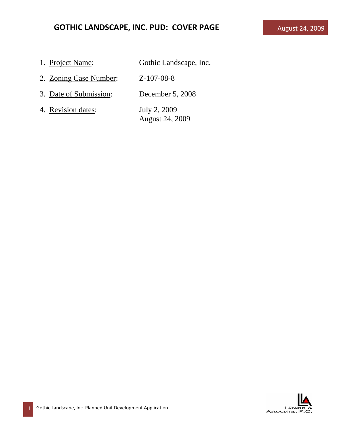| 1. Project Name:       | Gothic Landscape, Inc.                 |
|------------------------|----------------------------------------|
| 2. Zoning Case Number: | $Z-107-08-8$                           |
| 3. Date of Submission: | December 5, 2008                       |
| 4. Revision dates:     | July 2, 2009<br><b>August 24, 2009</b> |

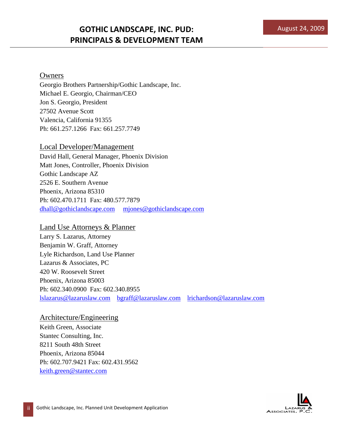### Owners

Georgio Brothers Partnership/Gothic Landscape, Inc. Michael E. Georgio, Chairman/CEO Jon S. Georgio, President 27502 Avenue Scott Valencia, California 91355 Ph: 661.257.1266 Fax: 661.257.7749

Local Developer/Management David Hall, General Manager, Phoenix Division Matt Jones, Controller, Phoenix Division Gothic Landscape AZ 2526 E. Southern Avenue Phoenix, Arizona 85310 Ph: 602.470.1711 Fax: 480.577.7879 dhall@gothiclandscape.com mjones@gothiclandscape.com

Land Use Attorneys & Planner

Larry S. Lazarus, Attorney Benjamin W. Graff, Attorney Lyle Richardson, Land Use Planner Lazarus & Associates, PC 420 W. Roosevelt Street Phoenix, Arizona 85003 Ph: 602.340.0900 Fax: 602.340.8955 lslazarus@lazaruslaw.com bgraff@lazaruslaw.com lrichardson@lazaruslaw.com

### Architecture/Engineering

Keith Green, Associate Stantec Consulting, Inc. 8211 South 48th Street Phoenix, Arizona 85044 Ph: 602.707.9421 Fax: 602.431.9562 keith.green@stantec.com

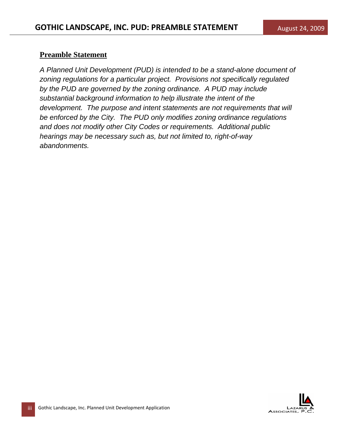### **Preamble Statement**

*A Planned Unit Development (PUD) is intended to be a stand-alone document of zoning regulations for a particular project. Provisions not specifically regulated by the PUD are governed by the zoning ordinance. A PUD may include substantial background information to help illustrate the intent of the development.* The purpose and intent statements are not requirements that will *be enforced by the City. The PUD only modifies zoning ordinance regulations and does not modify other City Codes or requirements. Additional public hearings may be necessary such as, but not limited to, right-of-way abandonments.*

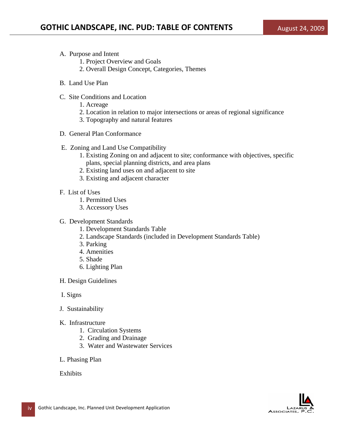- A. Purpose and Intent
	- 1. Project Overview and Goals
	- 2. Overall Design Concept, Categories, Themes
- B. Land Use Plan
- C. Site Conditions and Location
	- 1. Acreage
	- 2. Location in relation to major intersections or areas of regional significance
	- 3. Topography and natural features
- D. General Plan Conformance
- E. Zoning and Land Use Compatibility
	- 1. Existing Zoning on and adjacent to site; conformance with objectives, specific plans, special planning districts, and area plans
	- 2. Existing land uses on and adjacent to site
	- 3. Existing and adjacent character
- F. List of Uses
	- 1. Permitted Uses
	- 3. Accessory Uses
- G. Development Standards
	- 1. Development Standards Table
	- 2. Landscape Standards (included in Development Standards Table)
	- 3. Parking
	- 4. Amenities
	- 5. Shade
	- 6. Lighting Plan
- H. Design Guidelines
- I. Signs
- J. Sustainability
- K. Infrastructure
	- 1. Circulation Systems
	- 2. Grading and Drainage
	- 3. Water and Wastewater Services
- L. Phasing Plan

Exhibits

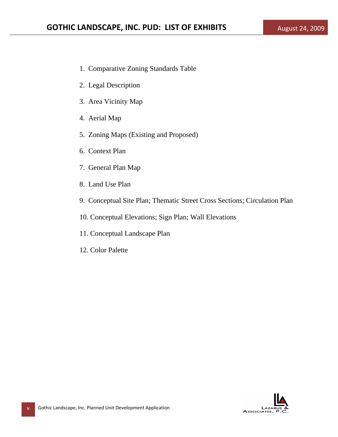- 1. Comparative Zoning Standards Table
- 2. Legal Description
- 3. Area Vicinity Map
- 4. Aerial Map
- 5. Zoning Maps (Existing and Proposed)
- 6. Context Plan
- 7. General Plan Map
- 8. Land Use Plan
- 9. Conceptual Site Plan; Thematic Street Cross Sections; Circulation Plan
- 10. Conceptual Elevations; Sign Plan; Wall Elevations
- 11. Conceptual Landscape Plan
- 12. Color Palette

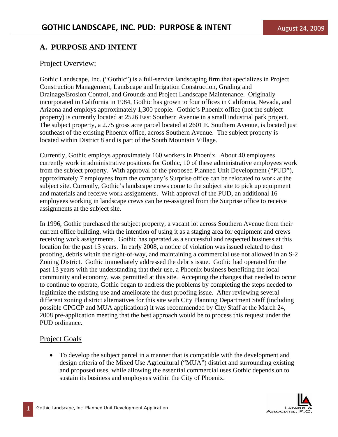## **A. PURPOSE AND INTENT**

### Project Overview:

Gothic Landscape, Inc. ("Gothic") is a full-service landscaping firm that specializes in Project Construction Management, Landscape and Irrigation Construction, Grading and Drainage/Erosion Control, and Grounds and Project Landscape Maintenance. Originally incorporated in California in 1984, Gothic has grown to four offices in California, Nevada, and Arizona and employs approximately 1,300 people. Gothic's Phoenix office (not the subject property) is currently located at 2526 East Southern Avenue in a small industrial park project. The subject property, a 2.75 gross acre parcel located at 2601 E. Southern Avenue, is located just southeast of the existing Phoenix office, across Southern Avenue. The subject property is located within District 8 and is part of the South Mountain Village.

Currently, Gothic employs approximately 160 workers in Phoenix. About 40 employees currently work in administrative positions for Gothic, 10 of these administrative employees work from the subject property. With approval of the proposed Planned Unit Development ("PUD"), approximately 7 employees from the company's Surprise office can be relocated to work at the subject site. Currently, Gothic's landscape crews come to the subject site to pick up equipment and materials and receive work assignments. With approval of the PUD, an additional 16 employees working in landscape crews can be re-assigned from the Surprise office to receive assignments at the subject site.

In 1996, Gothic purchased the subject property, a vacant lot across Southern Avenue from their current office building, with the intention of using it as a staging area for equipment and crews receiving work assignments. Gothic has operated as a successful and respected business at this location for the past 13 years. In early 2008, a notice of violation was issued related to dust proofing, debris within the right-of-way, and maintaining a commercial use not allowed in an S-2 Zoning District. Gothic immediately addressed the debris issue. Gothic had operated for the past 13 years with the understanding that their use, a Phoenix business benefiting the local community and economy, was permitted at this site. Accepting the changes that needed to occur to continue to operate, Gothic began to address the problems by completing the steps needed to legitimize the existing use and ameliorate the dust proofing issue. After reviewing several different zoning district alternatives for this site with City Planning Department Staff (including possible CPGCP and MUA applications) it was recommended by City Staff at the March 24, 2008 pre-application meeting that the best approach would be to process this request under the PUD ordinance.

### Project Goals

• To develop the subject parcel in a manner that is compatible with the development and design criteria of the Mixed Use Agricultural ("MUA") district and surrounding existing and proposed uses, while allowing the essential commercial uses Gothic depends on to sustain its business and employees within the City of Phoenix.

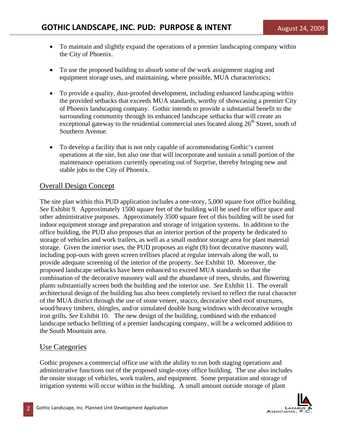- To maintain and slightly expand the operations of a premier landscaping company within the City of Phoenix.
- To use the proposed building to absorb some of the work assignment staging and equipment storage uses, and maintaining, where possible, MUA characteristics;
- To provide a quality, dust-proofed development, including enhanced landscaping within the provided setbacks that exceeds MUA standards, worthy of showcasing a premier City of Phoenix landscaping company. Gothic intends to provide a substantial benefit to the surrounding community through its enhanced landscape setbacks that will create an exceptional gateway to the residential commercial uses located along  $26<sup>th</sup>$  Street, south of Southern Avenue.
- To develop a facility that is not only capable of accommodating Gothic's current operations at the site, but also one that will incorporate and sustain a small portion of the maintenance operations currently operating out of Surprise, thereby bringing new and stable jobs to the City of Phoenix.

## Overall Design Concept

The site plan within this PUD application includes a one-story, 5,000 square foot office building. *See* Exhibit 9. Approximately 1500 square feet of the building will be used for office space and other administrative purposes. Approximately 3500 square feet of this building will be used for indoor equipment storage and preparation and storage of irrigation systems. In addition to the office building, the PUD also proposes that an interior portion of the property be dedicated to storage of vehicles and work trailers, as well as a small outdoor storage area for plant material storage. Given the interior uses, the PUD proposes an eight (8) foot decorative masonry wall, including pop-outs with green screen trellises placed at regular intervals along the wall, to provide adequate screening of the interior of the property. *See* Exhibit 10. Moreover, the proposed landscape setbacks have been enhanced to exceed MUA standards so that the combination of the decorative masonry wall and the abundance of trees, shrubs, and flowering plants substantially screen both the building and the interior use. *See* Exhibit 11. The overall architectural design of the building has also been completely revised to reflect the rural character of the MUA district through the use of stone veneer, stucco, decorative shed roof structures, wood/heavy timbers, shingles, and/or simulated double hung windows with decorative wrought iron grills. *See* Exhibit 10. The new design of the building, combined with the enhanced landscape setbacks befitting of a premier landscaping company, will be a welcomed addition to the South Mountain area.

## Use Categories

Gothic proposes a commercial office use with the ability to run both staging operations and administrative functions out of the proposed single-story office building. The use also includes the onsite storage of vehicles, work trailers, and equipment. Some preparation and storage of irrigation systems will occur within in the building. A small amount outside storage of plant

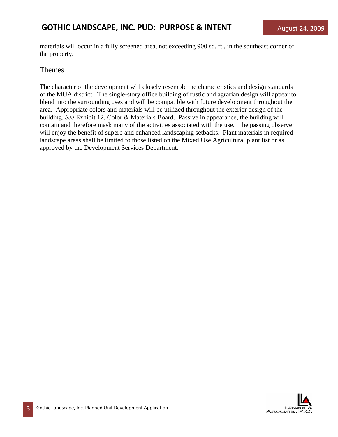materials will occur in a fully screened area, not exceeding 900 sq. ft., in the southeast corner of the property.

### Themes

The character of the development will closely resemble the characteristics and design standards of the MUA district. The single-story office building of rustic and agrarian design will appear to blend into the surrounding uses and will be compatible with future development throughout the area. Appropriate colors and materials will be utilized throughout the exterior design of the building. *See* Exhibit 12, Color & Materials Board. Passive in appearance, the building will contain and therefore mask many of the activities associated with the use. The passing observer will enjoy the benefit of superb and enhanced landscaping setbacks. Plant materials in required landscape areas shall be limited to those listed on the Mixed Use Agricultural plant list or as approved by the Development Services Department.

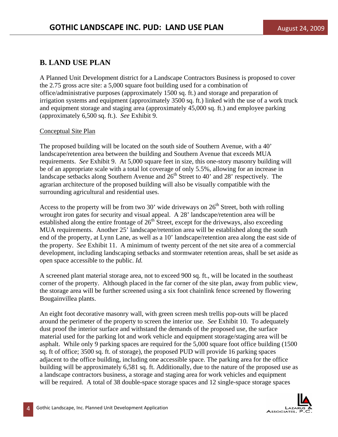## **B. LAND USE PLAN**

A Planned Unit Development district for a Landscape Contractors Business is proposed to cover the 2.75 gross acre site: a 5,000 square foot building used for a combination of office/administrative purposes (approximately 1500 sq. ft.) and storage and preparation of irrigation systems and equipment (approximately 3500 sq. ft.) linked with the use of a work truck and equipment storage and staging area (approximately 45,000 sq. ft.) and employee parking (approximately 6,500 sq. ft.). *See* Exhibit 9.

### Conceptual Site Plan

The proposed building will be located on the south side of Southern Avenue, with a 40' landscape/retention area between the building and Southern Avenue that exceeds MUA requirements. *See* Exhibit 9. At 5,000 square feet in size, this one-story masonry building will be of an appropriate scale with a total lot coverage of only 5.5%, allowing for an increase in landscape setbacks along Southern Avenue and  $26<sup>th</sup>$  Street to 40' and 28' respectively. The agrarian architecture of the proposed building will also be visually compatible with the surrounding agricultural and residential uses.

Access to the property will be from two 30' wide driveways on  $26<sup>th</sup>$  Street, both with rolling wrought iron gates for security and visual appeal. A 28' landscape/retention area will be established along the entire frontage of  $26<sup>th</sup>$  Street, except for the driveways, also exceeding MUA requirements. Another 25' landscape/retention area will be established along the south end of the property, at Lynn Lane, as well as a 10' landscape/retention area along the east side of the property. *See* Exhibit 11. A minimum of twenty percent of the net site area of a commercial development, including landscaping setbacks and stormwater retention areas, shall be set aside as open space accessible to the public. *Id.* 

A screened plant material storage area, not to exceed 900 sq. ft., will be located in the southeast corner of the property. Although placed in the far corner of the site plan, away from public view, the storage area will be further screened using a six foot chainlink fence screened by flowering Bougainvillea plants.

An eight foot decorative masonry wall, with green screen mesh trellis pop-outs will be placed around the perimeter of the property to screen the interior use. *See* Exhibit 10. To adequately dust proof the interior surface and withstand the demands of the proposed use, the surface material used for the parking lot and work vehicle and equipment storage/staging area will be asphalt. While only 9 parking spaces are required for the 5,000 square foot office building (1500 sq. ft of office; 3500 sq. ft. of storage), the proposed PUD will provide 16 parking spaces adjacent to the office building, including one accessible space. The parking area for the office building will be approximately 6,581 sq. ft. Additionally, due to the nature of the proposed use as a landscape contractors business, a storage and staging area for work vehicles and equipment will be required. A total of 38 double-space storage spaces and 12 single-space storage spaces

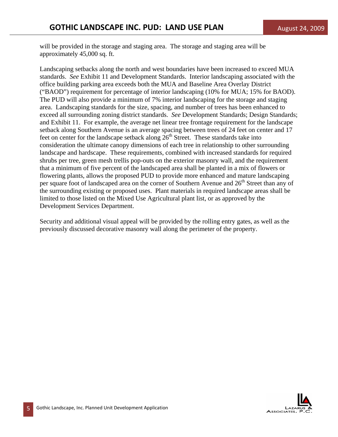will be provided in the storage and staging area. The storage and staging area will be approximately 45,000 sq. ft.

Landscaping setbacks along the north and west boundaries have been increased to exceed MUA standards. *See* Exhibit 11 and Development Standards. Interior landscaping associated with the office building parking area exceeds both the MUA and Baseline Area Overlay District ("BAOD") requirement for percentage of interior landscaping (10% for MUA; 15% for BAOD). The PUD will also provide a minimum of 7% interior landscaping for the storage and staging area. Landscaping standards for the size, spacing, and number of trees has been enhanced to exceed all surrounding zoning district standards. *See* Development Standards; Design Standards; and Exhibit 11. For example, the average net linear tree frontage requirement for the landscape setback along Southern Avenue is an average spacing between trees of 24 feet on center and 17 feet on center for the landscape setback along  $26<sup>th</sup>$  Street. These standards take into consideration the ultimate canopy dimensions of each tree in relationship to other surrounding landscape and hardscape. These requirements, combined with increased standards for required shrubs per tree, green mesh trellis pop-outs on the exterior masonry wall, and the requirement that a minimum of five percent of the landscaped area shall be planted in a mix of flowers or flowering plants, allows the proposed PUD to provide more enhanced and mature landscaping per square foot of landscaped area on the corner of Southern Avenue and 26<sup>th</sup> Street than any of the surrounding existing or proposed uses. Plant materials in required landscape areas shall be limited to those listed on the Mixed Use Agricultural plant list, or as approved by the Development Services Department.

Security and additional visual appeal will be provided by the rolling entry gates, as well as the previously discussed decorative masonry wall along the perimeter of the property.

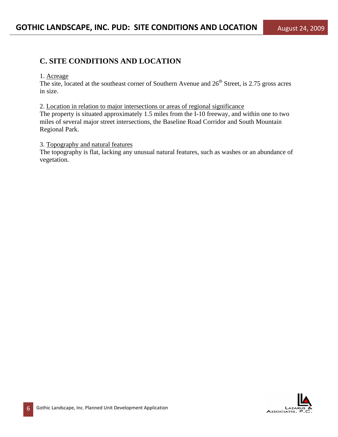## **C. SITE CONDITIONS AND LOCATION**

#### 1. Acreage

The site, located at the southeast corner of Southern Avenue and  $26<sup>th</sup>$  Street, is 2.75 gross acres in size.

2. Location in relation to major intersections or areas of regional significance

The property is situated approximately 1.5 miles from the I-10 freeway, and within one to two miles of several major street intersections, the Baseline Road Corridor and South Mountain Regional Park.

### 3. Topography and natural features

The topography is flat, lacking any unusual natural features, such as washes or an abundance of vegetation.

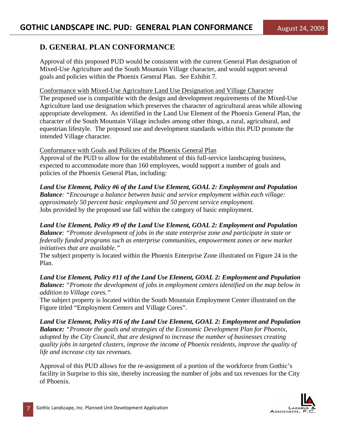## **D. GENERAL PLAN CONFORMANCE**

Approval of this proposed PUD would be consistent with the current General Plan designation of Mixed-Use Agriculture and the South Mountain Village character, and would support several goals and policies within the Phoenix General Plan. *See* Exhibit 7.

Conformance with Mixed-Use Agriculture Land Use Designation and Village Character The proposed use is compatible with the design and development requirements of the Mixed-Use Agriculture land use designation which preserves the character of agricultural areas while allowing appropriate development. As identified in the Land Use Element of the Phoenix General Plan, the character of the South Mountain Village includes among other things, a rural, agricultural, and equestrian lifestyle. The proposed use and development standards within this PUD promote the intended Village character.

### Conformance with Goals and Policies of the Phoenix General Plan

Approval of the PUD to allow for the establishment of this full-service landscaping business, expected to accommodate more than 160 employees, would support a number of goals and policies of the Phoenix General Plan, including:

*Land Use Element, Policy #6 of the Land Use Element, GOAL 2: Employment and Population Balance: "Encourage a balance between basic and service employment within each village: approximately 50 percent basic employment and 50 percent service employment.*  Jobs provided by the proposed use fall within the category of basic employment.

*Land Use Element, Policy #9 of the Land Use Element, GOAL 2: Employment and Population Balance: "Promote development of jobs in the state enterprise zone and participate in state or federally funded programs such as enterprise communities, empowerment zones or new market initiatives that are available."* 

The subject property is located within the Phoenix Enterprise Zone illustrated on Figure 24 in the Plan.

*Land Use Element, Policy #11 of the Land Use Element, GOAL 2: Employment and Population Balance: "Promote the development of jobs in employment centers identified on the map below in addition to Village cores."* 

The subject property is located within the South Mountain Employment Center illustrated on the Figure titled "Employment Centers and Village Cores".

*Land Use Element, Policy #16 of the Land Use Element, GOAL 2: Employment and Population Balance: "Promote the goals and strategies of the Economic Development Plan for Phoenix, adopted by the City Council, that are designed to increase the number of businesses creating quality jobs in targeted clusters, improve the income of Phoenix residents, improve the quality of life and increase city tax revenues.* 

Approval of this PUD allows for the re-assignment of a portion of the workforce from Gothic's facility in Surprise to this site, thereby increasing the number of jobs and tax revenues for the City of Phoenix.

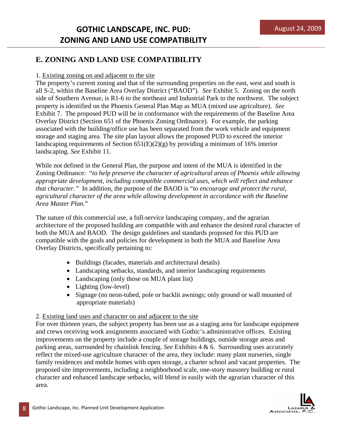# **E. ZONING AND LAND USE COMPATIBILITY**

## 1. Existing zoning on and adjacent to the site

The property's current zoning and that of the surrounding properties on the east, west and south is all S-2, within the Baseline Area Overlay District ("BAOD"). *See* Exhibit 5. Zoning on the north side of Southern Avenue, is R1-6 to the northeast and Industrial Park to the northwest. The subject property is identified on the Phoenix General Plan Map as MUA (mixed use agriculture). *See*  Exhibit 7. The proposed PUD will be in conformance with the requirements of the Baseline Area Overlay District (Section 651 of the Phoenix Zoning Ordinance). For example, the parking associated with the building/office use has been separated from the work vehicle and equipment storage and staging area. The site plan layout allows the proposed PUD to exceed the interior landscaping requirements of Section  $651(E)(2)(g)$  by providing a minimum of 16% interior landscaping. *See* Exhibit 11.

While not defined in the General Plan, the purpose and intent of the MUA is identified in the Zoning Ordinance: "*to help preserve the character of agricultural areas of Phoenix while allowing appropriate development, including compatible commercial uses, which will reflect and enhance that character."* In addition, the purpose of the BAOD is "*to encourage and protect the rural, agricultural character of the area while allowing development in accordance with the Baseline Area Master Plan.*"

The nature of this commercial use, a full-service landscaping company, and the agrarian architecture of the proposed building are compatible with and enhance the desired rural character of both the MUA and BAOD. The design guidelines and standards proposed for this PUD are compatible with the goals and policies for development in both the MUA and Baseline Area Overlay Districts, specifically pertaining to:

- Buildings (facades, materials and architectural details)
- Landscaping setbacks, standards, and interior landscaping requirements
- Landscaping (only those on MUA plant list)
- Lighting (low-level)
- Signage (no neon-tubed, pole or backlit awnings; only ground or wall mounted of appropriate materials)

## 2. Existing land uses and character on and adjacent to the site

For over thirteen years, the subject property has been use as a staging area for landscape equipment and crews receiving work assignments associated with Gothic's administrative offices. Existing improvements on the property include a couple of storage buildings, outside storage areas and parking areas, surrounded by chainlink fencing. *See* Exhibits 4 & 6. Surrounding uses accurately reflect the mixed-use agriculture character of the area, they include: many plant nurseries, single family residences and mobile homes with open storage, a charter school and vacant properties. The proposed site improvements, including a neighborhood scale, one-story masonry building or rural character and enhanced landscape setbacks, will blend in easily with the agrarian character of this area.

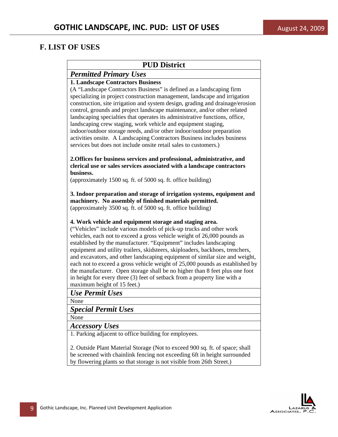## **F. LIST OF USES**

| <b>PUD District</b>                                                                                                                                                                                                                                                                                                                                                                                                                                                                                                                                                                                                                                                                                                       |
|---------------------------------------------------------------------------------------------------------------------------------------------------------------------------------------------------------------------------------------------------------------------------------------------------------------------------------------------------------------------------------------------------------------------------------------------------------------------------------------------------------------------------------------------------------------------------------------------------------------------------------------------------------------------------------------------------------------------------|
| <b>Permitted Primary Uses</b>                                                                                                                                                                                                                                                                                                                                                                                                                                                                                                                                                                                                                                                                                             |
| <b>1. Landscape Contractors Business</b>                                                                                                                                                                                                                                                                                                                                                                                                                                                                                                                                                                                                                                                                                  |
| (A "Landscape Contractors Business" is defined as a landscaping firm<br>specializing in project construction management, landscape and irrigation<br>construction, site irrigation and system design, grading and drainage/erosion<br>control, grounds and project landscape maintenance, and/or other related<br>landscaping specialties that operates its administrative functions, office,<br>landscaping crew staging, work vehicle and equipment staging,<br>indoor/outdoor storage needs, and/or other indoor/outdoor preparation<br>activities onsite. A Landscaping Contractors Business includes business<br>services but does not include onsite retail sales to customers.)                                    |
| 2. Offices for business services and professional, administrative, and<br>clerical use or sales services associated with a landscape contractors<br>business.                                                                                                                                                                                                                                                                                                                                                                                                                                                                                                                                                             |
| (approximately 1500 sq. ft. of 5000 sq. ft. office building)                                                                                                                                                                                                                                                                                                                                                                                                                                                                                                                                                                                                                                                              |
| 3. Indoor preparation and storage of irrigation systems, equipment and<br>machinery. No assembly of finished materials permitted.<br>(approximately 3500 sq. ft. of 5000 sq. ft. office building)                                                                                                                                                                                                                                                                                                                                                                                                                                                                                                                         |
| 4. Work vehicle and equipment storage and staging area.<br>("Vehicles" include various models of pick-up trucks and other work<br>vehicles, each not to exceed a gross vehicle weight of 26,000 pounds as<br>established by the manufacturer. "Equipment" includes landscaping<br>equipment and utility trailers, skidsteers, skiploaders, backhoes, trenchers,<br>and excavators, and other landscaping equipment of similar size and weight,<br>each not to exceed a gross vehicle weight of 25,000 pounds as established by<br>the manufacturer. Open storage shall be no higher than 8 feet plus one foot<br>in height for every three (3) feet of setback from a property line with a<br>maximum height of 15 feet.) |
| Use Permit Uses                                                                                                                                                                                                                                                                                                                                                                                                                                                                                                                                                                                                                                                                                                           |
| None                                                                                                                                                                                                                                                                                                                                                                                                                                                                                                                                                                                                                                                                                                                      |
| <b>Special Permit Uses</b>                                                                                                                                                                                                                                                                                                                                                                                                                                                                                                                                                                                                                                                                                                |
| None                                                                                                                                                                                                                                                                                                                                                                                                                                                                                                                                                                                                                                                                                                                      |
| <b>Accessory Uses</b>                                                                                                                                                                                                                                                                                                                                                                                                                                                                                                                                                                                                                                                                                                     |
| 1. Parking adjacent to office building for employees.                                                                                                                                                                                                                                                                                                                                                                                                                                                                                                                                                                                                                                                                     |
| 2. Outside Plant Material Storage (Not to exceed 900 sq. ft. of space; shall<br>be screened with chainlink fencing not exceeding 6ft in height surrounded                                                                                                                                                                                                                                                                                                                                                                                                                                                                                                                                                                 |
| by flowering plants so that storage is not visible from 26th Street.)                                                                                                                                                                                                                                                                                                                                                                                                                                                                                                                                                                                                                                                     |

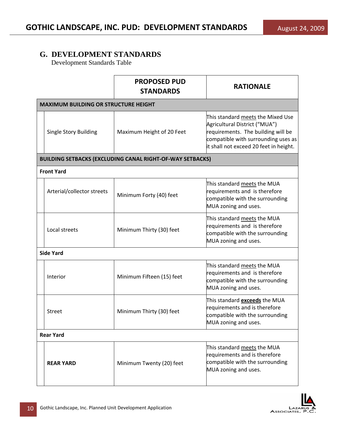|                                             | <b>PROPOSED PUD</b><br><b>STANDARDS</b>                          | <b>RATIONALE</b>                                                                                                                                                                          |
|---------------------------------------------|------------------------------------------------------------------|-------------------------------------------------------------------------------------------------------------------------------------------------------------------------------------------|
| <b>MAXIMUM BUILDING OR STRUCTURE HEIGHT</b> |                                                                  |                                                                                                                                                                                           |
| <b>Single Story Building</b>                | Maximum Height of 20 Feet                                        | This standard meets the Mixed Use<br>Agricultural District ("MUA")<br>requirements. The building will be<br>compatible with surrounding uses as<br>it shall not exceed 20 feet in height. |
|                                             | <b>BUILDING SETBACKS (EXCLUDING CANAL RIGHT-OF-WAY SETBACKS)</b> |                                                                                                                                                                                           |
| <b>Front Yard</b>                           |                                                                  |                                                                                                                                                                                           |
| Arterial/collector streets                  | Minimum Forty (40) feet                                          | This standard meets the MUA<br>requirements and is therefore<br>compatible with the surrounding<br>MUA zoning and uses.                                                                   |
| Local streets                               | Minimum Thirty (30) feet                                         | This standard meets the MUA<br>requirements and is therefore<br>compatible with the surrounding<br>MUA zoning and uses.                                                                   |
| <b>Side Yard</b>                            |                                                                  |                                                                                                                                                                                           |
| Interior                                    | Minimum Fifteen (15) feet                                        | This standard meets the MUA<br>requirements and is therefore<br>compatible with the surrounding<br>MUA zoning and uses.                                                                   |
| <b>Street</b>                               | Minimum Thirty (30) feet                                         | This standard <b>exceeds</b> the MUA<br>requirements and is therefore<br>compatible with the surrounding<br>MUA zoning and uses.                                                          |
| <b>Rear Yard</b>                            |                                                                  |                                                                                                                                                                                           |
| <b>REAR YARD</b>                            | Minimum Twenty (20) feet                                         | This standard meets the MUA<br>requirements and is therefore<br>compatible with the surrounding<br>MUA zoning and uses.                                                                   |

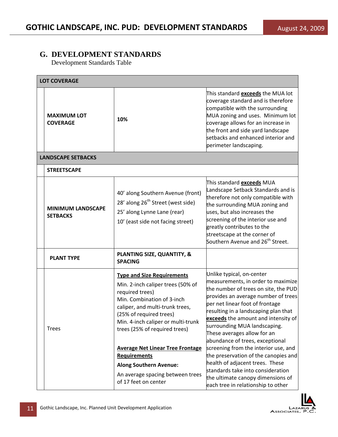| <b>LOT COVERAGE</b>                         |                                                                                                                                                                                                                                                              |                                                                                                                                                                                                                                                                                                                                                                    |  |
|---------------------------------------------|--------------------------------------------------------------------------------------------------------------------------------------------------------------------------------------------------------------------------------------------------------------|--------------------------------------------------------------------------------------------------------------------------------------------------------------------------------------------------------------------------------------------------------------------------------------------------------------------------------------------------------------------|--|
| <b>MAXIMUM LOT</b><br><b>COVERAGE</b>       | 10%                                                                                                                                                                                                                                                          | This standard <b>exceeds</b> the MUA lot<br>coverage standard and is therefore<br>compatible with the surrounding<br>MUA zoning and uses. Minimum lot<br>coverage allows for an increase in<br>the front and side yard landscape<br>setbacks and enhanced interior and<br>perimeter landscaping.                                                                   |  |
| <b>LANDSCAPE SETBACKS</b>                   |                                                                                                                                                                                                                                                              |                                                                                                                                                                                                                                                                                                                                                                    |  |
| <b>STREETSCAPE</b>                          |                                                                                                                                                                                                                                                              |                                                                                                                                                                                                                                                                                                                                                                    |  |
| <b>MINIMUM LANDSCAPE</b><br><b>SETBACKS</b> | 40' along Southern Avenue (front)<br>28' along 26 <sup>th</sup> Street (west side)<br>25' along Lynne Lane (rear)<br>10' (east side not facing street)                                                                                                       | This standard <b>exceeds</b> MUA<br>Landscape Setback Standards and is<br>therefore not only compatible with<br>the surrounding MUA zoning and<br>uses, but also increases the<br>screening of the interior use and<br>greatly contributes to the<br>streetscape at the corner of<br>Southern Avenue and 26 <sup>th</sup> Street.                                  |  |
| <b>PLANT TYPE</b>                           | PLANTING SIZE, QUANTITY, &<br><b>SPACING</b>                                                                                                                                                                                                                 |                                                                                                                                                                                                                                                                                                                                                                    |  |
| <b>Trees</b>                                | <b>Type and Size Requirements</b><br>Min. 2-inch caliper trees (50% of<br>required trees)<br>Min. Combination of 3-inch<br>caliper, and multi-trunk trees,<br>(25% of required trees)<br>Min. 4-inch caliper or multi-trunk<br>trees (25% of required trees) | Unlike typical, on-center<br>measurements, in order to maximize<br>the number of trees on site, the PUD<br>provides an average number of trees<br>per net linear foot of frontage<br>resulting in a landscaping plan that<br>exceeds the amount and intensity of<br>surrounding MUA landscaping.<br>These averages allow for an<br>abundance of trees, exceptional |  |
|                                             | <b>Average Net Linear Tree Frontage</b><br><b>Requirements</b>                                                                                                                                                                                               | screening from the interior use, and<br>the preservation of the canopies and                                                                                                                                                                                                                                                                                       |  |
|                                             | <b>Along Southern Avenue:</b>                                                                                                                                                                                                                                | health of adjacent trees. These                                                                                                                                                                                                                                                                                                                                    |  |
|                                             | An average spacing between trees<br>of 17 feet on center                                                                                                                                                                                                     | standards take into consideration<br>the ultimate canopy dimensions of<br>each tree in relationship to other                                                                                                                                                                                                                                                       |  |

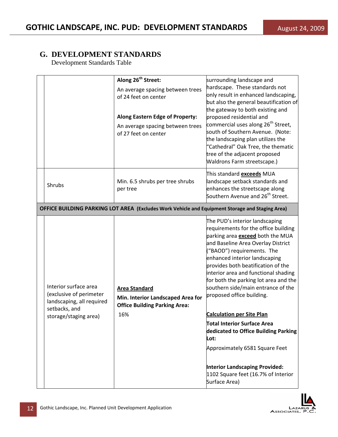|                                                                                                                         | Along 26 <sup>th</sup> Street:                                                                           | surrounding landscape and                                                                                                                                                                                                                                                                                                                                                                                                                                                           |
|-------------------------------------------------------------------------------------------------------------------------|----------------------------------------------------------------------------------------------------------|-------------------------------------------------------------------------------------------------------------------------------------------------------------------------------------------------------------------------------------------------------------------------------------------------------------------------------------------------------------------------------------------------------------------------------------------------------------------------------------|
|                                                                                                                         | An average spacing between trees<br>of 24 feet on center                                                 | hardscape. These standards not<br>only result in enhanced landscaping,<br>but also the general beautification of                                                                                                                                                                                                                                                                                                                                                                    |
|                                                                                                                         | <b>Along Eastern Edge of Property:</b>                                                                   | the gateway to both existing and<br>proposed residential and                                                                                                                                                                                                                                                                                                                                                                                                                        |
|                                                                                                                         | An average spacing between trees<br>of 27 feet on center                                                 | commercial uses along 26 <sup>th</sup> Street,<br>south of Southern Avenue. (Note:<br>the landscaping plan utilizes the<br>"Cathedral" Oak Tree, the thematic<br>tree of the adjacent proposed<br>Waldrons Farm streetscape.)                                                                                                                                                                                                                                                       |
| Shrubs                                                                                                                  | Min. 6.5 shrubs per tree shrubs<br>per tree                                                              | This standard <b>exceeds</b> MUA<br>landscape setback standards and<br>enhances the streetscape along<br>Southern Avenue and 26 <sup>th</sup> Street.                                                                                                                                                                                                                                                                                                                               |
|                                                                                                                         | OFFICE BUILDING PARKING LOT AREA (Excludes Work Vehicle and Equipment Storage and Staging Area)          |                                                                                                                                                                                                                                                                                                                                                                                                                                                                                     |
| Interior surface area<br>(exclusive of perimeter<br>landscaping, all required<br>setbacks, and<br>storage/staging area) | <b>Area Standard</b><br>Min. Interior Landscaped Area for<br><b>Office Building Parking Area:</b><br>16% | The PUD's interior landscaping<br>requirements for the office building<br>parking area <b>exceed</b> both the MUA<br>and Baseline Area Overlay District<br>("BAOD") requirements. The<br>enhanced interior landscaping<br>provides both beatification of the<br>interior area and functional shading<br>for both the parking lot area and the<br>southern side/main entrance of the<br>proposed office building.<br><b>Calculation per Site Plan</b><br>Total Interior Surface Area |
|                                                                                                                         |                                                                                                          | dedicated to Office Building Parking<br>Lot:<br>Approximately 6581 Square Feet                                                                                                                                                                                                                                                                                                                                                                                                      |
|                                                                                                                         |                                                                                                          | <b>Interior Landscaping Provided:</b><br>1102 Square feet (16.7% of Interior<br>Surface Area)                                                                                                                                                                                                                                                                                                                                                                                       |

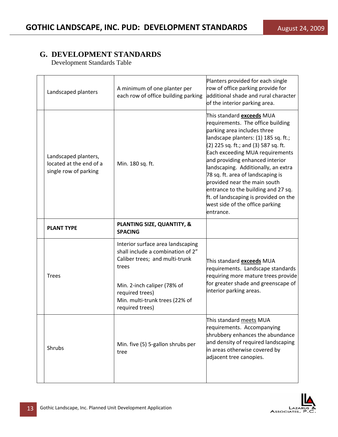|  | Landscaped planters                                                      | A minimum of one planter per<br>each row of office building parking                                               | Planters provided for each single<br>row of office parking provide for<br>additional shade and rural character<br>of the interior parking area.                                                                                                                                                                                                                                                                                                                                                        |
|--|--------------------------------------------------------------------------|-------------------------------------------------------------------------------------------------------------------|--------------------------------------------------------------------------------------------------------------------------------------------------------------------------------------------------------------------------------------------------------------------------------------------------------------------------------------------------------------------------------------------------------------------------------------------------------------------------------------------------------|
|  | Landscaped planters,<br>located at the end of a<br>single row of parking | Min. 180 sq. ft.                                                                                                  | This standard <b>exceeds</b> MUA<br>requirements. The office building<br>parking area includes three<br>landscape planters: (1) 185 sq. ft.;<br>(2) 225 sq. ft.; and (3) 587 sq. ft.<br>Each exceeding MUA requirements<br>and providing enhanced interior<br>landscaping. Additionally, an extra<br>78 sq. ft. area of landscaping is<br>provided near the main south<br>entrance to the building and 27 sq.<br>ft. of landscaping is provided on the<br>west side of the office parking<br>entrance. |
|  | <b>PLANT TYPE</b>                                                        | <b>PLANTING SIZE, QUANTITY, &amp;</b><br><b>SPACING</b>                                                           |                                                                                                                                                                                                                                                                                                                                                                                                                                                                                                        |
|  | <b>Trees</b>                                                             | Interior surface area landscaping<br>shall include a combination of 2"<br>Caliber trees; and multi-trunk<br>trees | This standard <b>exceeds</b> MUA<br>requirements. Landscape standards<br>requiring more mature trees provide                                                                                                                                                                                                                                                                                                                                                                                           |
|  |                                                                          | Min. 2-inch caliper (78% of<br>required trees)<br>Min. multi-trunk trees (22% of<br>required trees)               | for greater shade and greenscape of<br>interior parking areas.                                                                                                                                                                                                                                                                                                                                                                                                                                         |
|  | Shrubs                                                                   | Min. five (5) 5-gallon shrubs per<br>tree                                                                         | This standard meets MUA<br>requirements. Accompanying<br>shrubbery enhances the abundance<br>and density of required landscaping<br>in areas otherwise covered by<br>adjacent tree canopies.                                                                                                                                                                                                                                                                                                           |

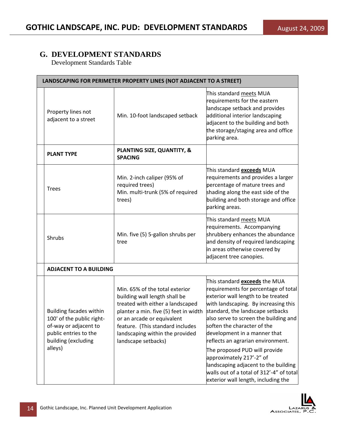| LANDSCAPING FOR PERIMETER PROPERTY LINES (NOT ADJACENT TO A STREET)                                                                             |                                                                                                                                                                                                                                                                          |                                                                                                                                                                                                                                                                                                                                                                                                                                                                                                                                      |
|-------------------------------------------------------------------------------------------------------------------------------------------------|--------------------------------------------------------------------------------------------------------------------------------------------------------------------------------------------------------------------------------------------------------------------------|--------------------------------------------------------------------------------------------------------------------------------------------------------------------------------------------------------------------------------------------------------------------------------------------------------------------------------------------------------------------------------------------------------------------------------------------------------------------------------------------------------------------------------------|
| Property lines not<br>adjacent to a street                                                                                                      | Min. 10-foot landscaped setback                                                                                                                                                                                                                                          | This standard <u>meets</u> MUA<br>requirements for the eastern<br>landscape setback and provides<br>additional interior landscaping<br>adjacent to the building and both<br>the storage/staging area and office<br>parking area.                                                                                                                                                                                                                                                                                                     |
| <b>PLANT TYPE</b>                                                                                                                               | PLANTING SIZE, QUANTITY, &<br><b>SPACING</b>                                                                                                                                                                                                                             |                                                                                                                                                                                                                                                                                                                                                                                                                                                                                                                                      |
| <b>Trees</b>                                                                                                                                    | Min. 2-inch caliper (95% of<br>required trees)<br>Min. multi-trunk (5% of required<br>trees)                                                                                                                                                                             | This standard <b>exceeds</b> MUA<br>requirements and provides a larger<br>percentage of mature trees and<br>shading along the east side of the<br>building and both storage and office<br>parking areas.                                                                                                                                                                                                                                                                                                                             |
| Shrubs                                                                                                                                          | Min. five (5) 5-gallon shrubs per<br>tree                                                                                                                                                                                                                                | This standard meets MUA<br>requirements. Accompanying<br>shrubbery enhances the abundance<br>and density of required landscaping<br>in areas otherwise covered by<br>adjacent tree canopies.                                                                                                                                                                                                                                                                                                                                         |
| <b>ADJACENT TO A BUILDING</b>                                                                                                                   |                                                                                                                                                                                                                                                                          |                                                                                                                                                                                                                                                                                                                                                                                                                                                                                                                                      |
| <b>Building facades within</b><br>100' of the public right-<br>of-way or adjacent to<br>public entries to the<br>building (excluding<br>alleys) | Min. 65% of the total exterior<br>building wall length shall be<br>treated with either a landscaped<br>planter a min. five (5) feet in width<br>or an arcade or equivalent<br>feature. (This standard includes<br>landscaping within the provided<br>landscape setbacks) | This standard <b>exceeds</b> the MUA<br>requirements for percentage of total<br>exterior wall length to be treated<br>with landscaping. By increasing this<br>standard, the landscape setbacks<br>also serve to screen the building and<br>lsoften the character of the<br>development in a manner that<br>reflects an agrarian environment.<br>The proposed PUD will provide<br>approximately 217'-2" of<br>landscaping adjacent to the building<br>walls out of a total of 312'-4" of total<br>exterior wall length, including the |

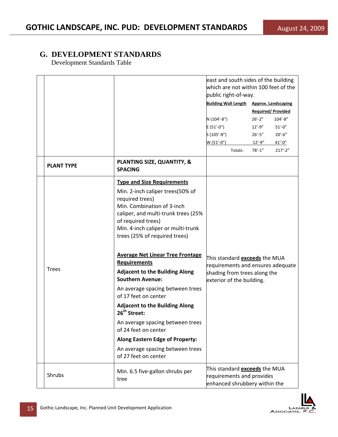|                   |                                                                                                                                                                                                                                                                                                                                                                                                                                                                                                                                                                                                                                                                                                     | public right-of-way.<br>N (104'-8")<br>$E(51'-0'')$<br>$S(105'-8'')$<br>$W(51'-0'')$               | east and south sides of the building<br>which are not within 100 feet of the<br><b>Building Wall Length Approx. Landscaping</b><br><b>Required/Provided</b><br>$26' - 2''$<br>$104' - 8''$<br>$12' - 9''$<br>$51' - 0''$<br>$26' - 5''$<br>$20' - 6''$<br>$12' - 9''$<br>$41' - 0''$ |
|-------------------|-----------------------------------------------------------------------------------------------------------------------------------------------------------------------------------------------------------------------------------------------------------------------------------------------------------------------------------------------------------------------------------------------------------------------------------------------------------------------------------------------------------------------------------------------------------------------------------------------------------------------------------------------------------------------------------------------------|----------------------------------------------------------------------------------------------------|--------------------------------------------------------------------------------------------------------------------------------------------------------------------------------------------------------------------------------------------------------------------------------------|
| <b>PLANT TYPE</b> | PLANTING SIZE, QUANTITY, &<br><b>SPACING</b>                                                                                                                                                                                                                                                                                                                                                                                                                                                                                                                                                                                                                                                        | Totals:                                                                                            | $78' - 1''$<br>$217' - 2''$                                                                                                                                                                                                                                                          |
| <b>Trees</b>      | <b>Type and Size Requirements</b><br>Min. 2-inch caliper trees(50% of<br>required trees)<br>Min. Combination of 3-inch<br>caliper, and multi-trunk trees (25%<br>of required trees)<br>Min. 4-inch caliper or multi-trunk<br>trees (25% of required trees)<br><b>Average Net Linear Tree Frontage</b><br><b>Requirements</b><br><b>Adjacent to the Building Along</b><br><b>Southern Avenue:</b><br>An average spacing between trees<br>of 17 feet on center<br><b>Adjacent to the Building Along</b><br>26 <sup>th</sup> Street:<br>An average spacing between trees<br>of 24 feet on center<br><b>Along Eastern Edge of Property:</b><br>An average spacing between trees<br>of 27 feet on center | This standard <b>exceeds</b> the MUA<br>shading from trees along the<br>exterior of the building.  | requirements and ensures adequate                                                                                                                                                                                                                                                    |
| Shrubs            | Min. 6.5 five-gallon shrubs per<br>tree                                                                                                                                                                                                                                                                                                                                                                                                                                                                                                                                                                                                                                                             | This standard <b>exceeds</b> the MUA<br>requirements and provides<br>enhanced shrubbery within the |                                                                                                                                                                                                                                                                                      |

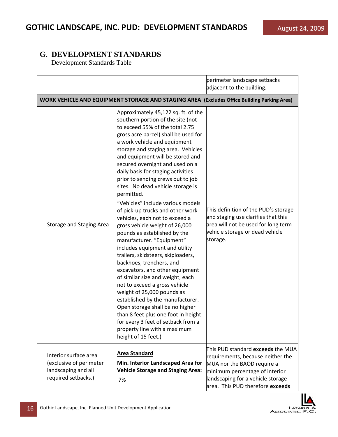|                                                                                                |                                                                                                                                                                                                                                                                                                                                                                                                                                                                                                                                                                                                                                                                                                                                                                                                                                                                                                                                                                                                                                                                                               | perimeter landscape setbacks<br>adjacent to the building.                                                                                                                                                                     |
|------------------------------------------------------------------------------------------------|-----------------------------------------------------------------------------------------------------------------------------------------------------------------------------------------------------------------------------------------------------------------------------------------------------------------------------------------------------------------------------------------------------------------------------------------------------------------------------------------------------------------------------------------------------------------------------------------------------------------------------------------------------------------------------------------------------------------------------------------------------------------------------------------------------------------------------------------------------------------------------------------------------------------------------------------------------------------------------------------------------------------------------------------------------------------------------------------------|-------------------------------------------------------------------------------------------------------------------------------------------------------------------------------------------------------------------------------|
|                                                                                                | WORK VEHICLE AND EQUIPMENT STORAGE AND STAGING AREA (Excludes Office Building Parking Area)                                                                                                                                                                                                                                                                                                                                                                                                                                                                                                                                                                                                                                                                                                                                                                                                                                                                                                                                                                                                   |                                                                                                                                                                                                                               |
| Storage and Staging Area                                                                       | Approximately 45,122 sq. ft. of the<br>southern portion of the site (not<br>to exceed 55% of the total 2.75<br>gross acre parcel) shall be used for<br>a work vehicle and equipment<br>storage and staging area. Vehicles<br>and equipment will be stored and<br>secured overnight and used on a<br>daily basis for staging activities<br>prior to sending crews out to job<br>sites. No dead vehicle storage is<br>permitted.<br>"Vehicles" include various models<br>of pick-up trucks and other work<br>vehicles, each not to exceed a<br>gross vehicle weight of 26,000<br>pounds as established by the<br>manufacturer. "Equipment"<br>includes equipment and utility<br>trailers, skidsteers, skiploaders,<br>backhoes, trenchers, and<br>excavators, and other equipment<br>of similar size and weight, each<br>not to exceed a gross vehicle<br>weight of 25,000 pounds as<br>established by the manufacturer.<br>Open storage shall be no higher<br>than 8 feet plus one foot in height<br>for every 3 feet of setback from a<br>property line with a maximum<br>height of 15 feet.) | This definition of the PUD's storage<br>and staging use clarifies that this<br>area will not be used for long term<br>vehicle storage or dead vehicle<br>storage.                                                             |
| Interior surface area<br>(exclusive of perimeter<br>landscaping and all<br>required setbacks.) | <b>Area Standard</b><br>Min. Interior Landscaped Area for<br><b>Vehicle Storage and Staging Area:</b><br>7%                                                                                                                                                                                                                                                                                                                                                                                                                                                                                                                                                                                                                                                                                                                                                                                                                                                                                                                                                                                   | This PUD standard <b>exceeds</b> the MUA<br>requirements, because neither the<br>MUA nor the BAOD require a<br>minimum percentage of interior<br>landscaping for a vehicle storage<br>area. This PUD therefore <b>exceeds</b> |

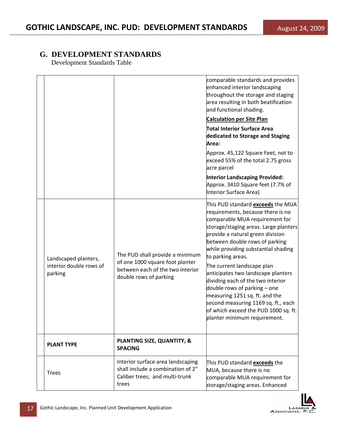|                                                            |                                                                                                                                  | comparable standards and provides<br>enhanced interior landscaping<br>throughout the storage and staging<br>area resulting in both beatification<br>and functional shading.<br><b>Calculation per Site Plan</b><br>Total Interior Surface Area<br>dedicated to Storage and Staging<br>Area:<br>Approx. 45,122 Square Feet, not to<br>exceed 55% of the total 2.75 gross<br>acre parcel<br><b>Interior Landscaping Provided:</b><br>Approx. 3410 Square feet (7.7% of<br>Interior Surface Area)                                                                                       |
|------------------------------------------------------------|----------------------------------------------------------------------------------------------------------------------------------|--------------------------------------------------------------------------------------------------------------------------------------------------------------------------------------------------------------------------------------------------------------------------------------------------------------------------------------------------------------------------------------------------------------------------------------------------------------------------------------------------------------------------------------------------------------------------------------|
| Landscaped planters,<br>interior double rows of<br>parking | The PUD shall provide a minimum<br>of one 1000 square foot planter<br>between each of the two interior<br>double rows of parking | This PUD standard <b>exceeds</b> the MUA<br>requirements, because there is no<br>comparable MUA requirement for<br>storage/staging areas. Large planters<br>provide a natural green division<br>between double rows of parking<br>while providing substantial shading<br>to parking areas.<br>The current landscape plan<br>anticipates two landscape planters<br>dividing each of the two interior<br>double rows of parking - one<br>measuring 1251 sq. ft. and the<br>second measuring 1169 sq. ft., each<br>of which exceed the PUD 1000 sq. ft.<br>planter minimum requirement. |
| <b>PLANT TYPE</b>                                          | PLANTING SIZE, QUANTITY, &<br><b>SPACING</b>                                                                                     |                                                                                                                                                                                                                                                                                                                                                                                                                                                                                                                                                                                      |
| <b>Trees</b>                                               | Interior surface area landscaping<br>shall include a combination of 2"<br>Caliber trees; and multi-trunk<br>trees                | This PUD standard <b>exceeds</b> the<br>MUA, because there is no<br>comparable MUA requirement for<br>storage/staging areas. Enhanced                                                                                                                                                                                                                                                                                                                                                                                                                                                |

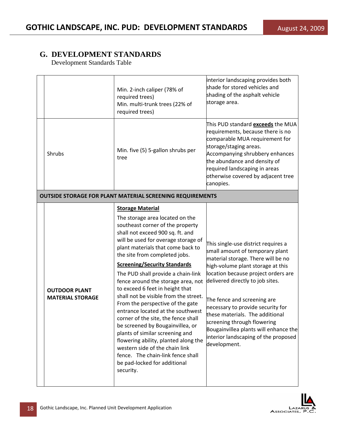|                                                 | Min. 2-inch caliper (78% of<br>required trees)<br>Min. multi-trunk trees (22% of<br>required trees)                                                                                                                                                                                                                                                                                                                                                                                                                                                                                                                                                                                                                                                                                               | interior landscaping provides both<br>shade for stored vehicles and<br>shading of the asphalt vehicle<br>storage area.                                                                                                                                                                                                                                                                                                                                              |
|-------------------------------------------------|---------------------------------------------------------------------------------------------------------------------------------------------------------------------------------------------------------------------------------------------------------------------------------------------------------------------------------------------------------------------------------------------------------------------------------------------------------------------------------------------------------------------------------------------------------------------------------------------------------------------------------------------------------------------------------------------------------------------------------------------------------------------------------------------------|---------------------------------------------------------------------------------------------------------------------------------------------------------------------------------------------------------------------------------------------------------------------------------------------------------------------------------------------------------------------------------------------------------------------------------------------------------------------|
| Shrubs                                          | Min. five (5) 5-gallon shrubs per<br>tree                                                                                                                                                                                                                                                                                                                                                                                                                                                                                                                                                                                                                                                                                                                                                         | This PUD standard <b>exceeds</b> the MUA<br>requirements, because there is no<br>comparable MUA requirement for<br>storage/staging areas.<br>Accompanying shrubbery enhances<br>the abundance and density of<br>required landscaping in areas<br>otherwise covered by adjacent tree<br>canopies.                                                                                                                                                                    |
|                                                 | <b>OUTSIDE STORAGE FOR PLANT MATERIAL SCREENING REQUIREMENTS</b>                                                                                                                                                                                                                                                                                                                                                                                                                                                                                                                                                                                                                                                                                                                                  |                                                                                                                                                                                                                                                                                                                                                                                                                                                                     |
| <b>OUTDOOR PLANT</b><br><b>MATERIAL STORAGE</b> | <b>Storage Material</b><br>The storage area located on the<br>southeast corner of the property<br>shall not exceed 900 sq. ft. and<br>will be used for overage storage of<br>plant materials that come back to<br>the site from completed jobs.<br><b>Screening/Security Standards</b><br>The PUD shall provide a chain-link<br>fence around the storage area, not<br>to exceed 6 feet in height that<br>shall not be visible from the street.<br>From the perspective of the gate<br>entrance located at the southwest<br>corner of the site, the fence shall<br>be screened by Bougainvillea, or<br>plants of similar screening and<br>flowering ability, planted along the<br>western side of the chain link<br>fence. The chain-link fence shall<br>be pad-locked for additional<br>security. | This single-use district requires a<br>small amount of temporary plant<br>material storage. There will be no<br>high-volume plant storage at this<br>location because project orders are<br>delivered directly to job sites.<br>The fence and screening are<br>necessary to provide security for<br>these materials. The additional<br>screening through flowering<br>Bougainvillea plants will enhance the<br>interior landscaping of the proposed<br>development. |

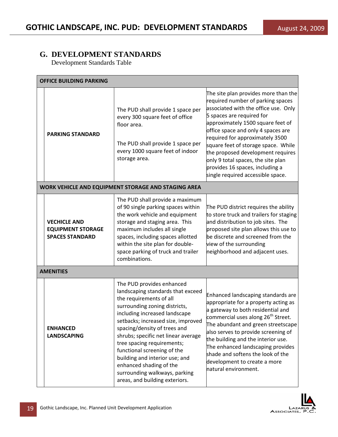| <b>OFFICE BUILDING PARKING</b>                                            |                                                                                                                                                                                                                                                                                                                                                                                                                                                                       |                                                                                                                                                                                                                                                                                                                                                                                                                                                        |  |
|---------------------------------------------------------------------------|-----------------------------------------------------------------------------------------------------------------------------------------------------------------------------------------------------------------------------------------------------------------------------------------------------------------------------------------------------------------------------------------------------------------------------------------------------------------------|--------------------------------------------------------------------------------------------------------------------------------------------------------------------------------------------------------------------------------------------------------------------------------------------------------------------------------------------------------------------------------------------------------------------------------------------------------|--|
| <b>PARKING STANDARD</b>                                                   | The PUD shall provide 1 space per<br>every 300 square feet of office<br>floor area.<br>The PUD shall provide 1 space per<br>every 1000 square feet of indoor<br>storage area.                                                                                                                                                                                                                                                                                         | The site plan provides more than the<br>required number of parking spaces<br>associated with the office use. Only<br>5 spaces are required for<br>approximately 1500 square feet of<br>office space and only 4 spaces are<br>required for approximately 3500<br>square feet of storage space. While<br>the proposed development requires<br>only 9 total spaces, the site plan<br>provides 16 spaces, including a<br>single required accessible space. |  |
|                                                                           | WORK VEHICLE AND EQUIPMENT STORAGE AND STAGING AREA                                                                                                                                                                                                                                                                                                                                                                                                                   |                                                                                                                                                                                                                                                                                                                                                                                                                                                        |  |
| <b>VECHICLE AND</b><br><b>EQUIPMENT STORAGE</b><br><b>SPACES STANDARD</b> | The PUD shall provide a maximum<br>of 90 single parking spaces within<br>the work vehicle and equipment<br>storage and staging area. This<br>maximum includes all single<br>spaces, including spaces allotted<br>within the site plan for double-<br>space parking of truck and trailer<br>combinations.                                                                                                                                                              | The PUD district requires the ability<br>to store truck and trailers for staging<br>and distribution to job sites. The<br>proposed site plan allows this use to<br>be discrete and screened from the<br>view of the surrounding<br>neighborhood and adjacent uses.                                                                                                                                                                                     |  |
| <b>AMENITIES</b>                                                          |                                                                                                                                                                                                                                                                                                                                                                                                                                                                       |                                                                                                                                                                                                                                                                                                                                                                                                                                                        |  |
| <b>ENHANCED</b><br><b>LANDSCAPING</b>                                     | The PUD provides enhanced<br>landscaping standards that exceed<br>the requirements of all<br>surrounding zoning districts,<br>including increased landscape<br>setbacks; increased size, improved<br>spacing/density of trees and<br>shrubs; specific net linear average<br>tree spacing requirements;<br>functional screening of the<br>building and interior use; and<br>enhanced shading of the<br>surrounding walkways, parking<br>areas, and building exteriors. | Enhanced landscaping standards are<br>appropriate for a property acting as<br>a gateway to both residential and<br>commercial uses along 26 <sup>th</sup> Street.<br>The abundant and green streetscape<br>also serves to provide screening of<br>the building and the interior use.<br>The enhanced landscaping provides<br>shade and softens the look of the<br>development to create a more<br>natural environment.                                 |  |

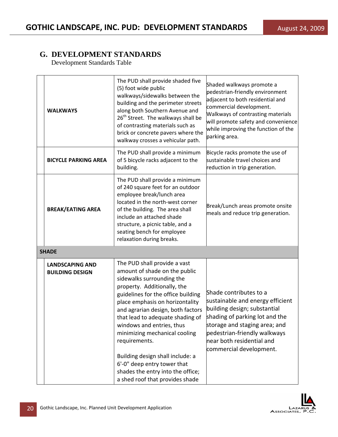| <b>WALKWAYS</b>                                  | The PUD shall provide shaded five<br>(5) foot wide public<br>walkways/sidewalks between the<br>building and the perimeter streets<br>along both Southern Avenue and<br>26 <sup>th</sup> Street. The walkways shall be<br>of contrasting materials such as<br>brick or concrete pavers where the<br>walkway crosses a vehicular path.                                                                                                                                                                  | Shaded walkways promote a<br>pedestrian-friendly environment<br>adjacent to both residential and<br>commercial development.<br>Walkways of contrasting materials<br>will promote safety and convenience<br>while improving the function of the<br>parking area. |  |  |  |  |
|--------------------------------------------------|-------------------------------------------------------------------------------------------------------------------------------------------------------------------------------------------------------------------------------------------------------------------------------------------------------------------------------------------------------------------------------------------------------------------------------------------------------------------------------------------------------|-----------------------------------------------------------------------------------------------------------------------------------------------------------------------------------------------------------------------------------------------------------------|--|--|--|--|
| <b>BICYCLE PARKING AREA</b>                      | The PUD shall provide a minimum<br>of 5 bicycle racks adjacent to the<br>building.                                                                                                                                                                                                                                                                                                                                                                                                                    | Bicycle racks promote the use of<br>sustainable travel choices and<br>reduction in trip generation.                                                                                                                                                             |  |  |  |  |
| <b>BREAK/EATING AREA</b>                         | The PUD shall provide a minimum<br>of 240 square feet for an outdoor<br>employee break/lunch area<br>located in the north-west corner<br>of the building. The area shall<br>include an attached shade<br>structure, a picnic table, and a<br>seating bench for employee<br>relaxation during breaks.                                                                                                                                                                                                  | Break/Lunch areas promote onsite<br>meals and reduce trip generation.                                                                                                                                                                                           |  |  |  |  |
| <b>SHADE</b>                                     |                                                                                                                                                                                                                                                                                                                                                                                                                                                                                                       |                                                                                                                                                                                                                                                                 |  |  |  |  |
| <b>LANDSCAPING AND</b><br><b>BUILDING DESIGN</b> | The PUD shall provide a vast<br>amount of shade on the public<br>sidewalks surrounding the<br>property. Additionally, the<br>guidelines for the office building<br>place emphasis on horizontality<br>and agrarian design, both factors<br>that lead to adequate shading of<br>windows and entries, thus<br>minimizing mechanical cooling<br>requirements.<br>Building design shall include: a<br>6'-0" deep entry tower that<br>shades the entry into the office;<br>a shed roof that provides shade | Shade contributes to a<br>sustainable and energy efficient<br>building design; substantial<br>shading of parking lot and the<br>storage and staging area; and<br>pedestrian-friendly walkways<br>near both residential and<br>commercial development.           |  |  |  |  |

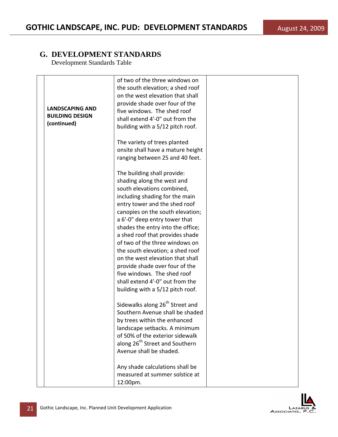| <b>LANDSCAPING AND</b><br><b>BUILDING DESIGN</b><br>(continued) | of two of the three windows on<br>the south elevation; a shed roof<br>on the west elevation that shall<br>provide shade over four of the<br>five windows. The shed roof<br>shall extend 4'-0" out from the<br>building with a 5/12 pitch roof.                                                                                                                                                                                                                                                                                                            |  |
|-----------------------------------------------------------------|-----------------------------------------------------------------------------------------------------------------------------------------------------------------------------------------------------------------------------------------------------------------------------------------------------------------------------------------------------------------------------------------------------------------------------------------------------------------------------------------------------------------------------------------------------------|--|
|                                                                 | The variety of trees planted<br>onsite shall have a mature height<br>ranging between 25 and 40 feet.                                                                                                                                                                                                                                                                                                                                                                                                                                                      |  |
|                                                                 | The building shall provide:<br>shading along the west and<br>south elevations combined,<br>including shading for the main<br>entry tower and the shed roof<br>canopies on the south elevation;<br>a 6'-0" deep entry tower that<br>shades the entry into the office;<br>a shed roof that provides shade<br>of two of the three windows on<br>the south elevation; a shed roof<br>on the west elevation that shall<br>provide shade over four of the<br>five windows. The shed roof<br>shall extend 4'-0" out from the<br>building with a 5/12 pitch roof. |  |
|                                                                 | Sidewalks along 26 <sup>th</sup> Street and<br>Southern Avenue shall be shaded<br>by trees within the enhanced<br>landscape setbacks. A minimum<br>of 50% of the exterior sidewalk<br>along 26 <sup>th</sup> Street and Southern<br>Avenue shall be shaded.                                                                                                                                                                                                                                                                                               |  |
|                                                                 | Any shade calculations shall be<br>measured at summer solstice at<br>12:00pm.                                                                                                                                                                                                                                                                                                                                                                                                                                                                             |  |

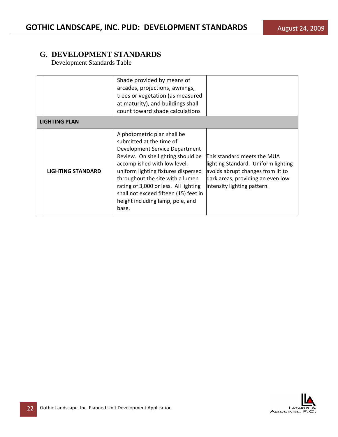|                          | Shade provided by means of<br>arcades, projections, awnings,<br>trees or vegetation (as measured<br>at maturity), and buildings shall<br>count toward shade calculations                                                                                                                                                                                                  |                                                                                                                                                                             |  |  |  |  |  |
|--------------------------|---------------------------------------------------------------------------------------------------------------------------------------------------------------------------------------------------------------------------------------------------------------------------------------------------------------------------------------------------------------------------|-----------------------------------------------------------------------------------------------------------------------------------------------------------------------------|--|--|--|--|--|
| <b>LIGHTING PLAN</b>     |                                                                                                                                                                                                                                                                                                                                                                           |                                                                                                                                                                             |  |  |  |  |  |
| <b>LIGHTING STANDARD</b> | A photometric plan shall be<br>submitted at the time of<br>Development Service Department<br>Review. On site lighting should be<br>accomplished with low level,<br>uniform lighting fixtures dispersed<br>throughout the site with a lumen<br>rating of 3,000 or less. All lighting<br>shall not exceed fifteen (15) feet in<br>height including lamp, pole, and<br>base. | This standard meets the MUA<br>lighting Standard. Uniform lighting<br>avoids abrupt changes from lit to<br>dark areas, providing an even low<br>intensity lighting pattern. |  |  |  |  |  |

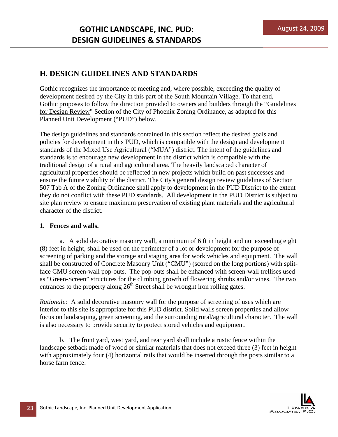## **H. DESIGN GUIDELINES AND STANDARDS**

Gothic recognizes the importance of meeting and, where possible, exceeding the quality of development desired by the City in this part of the South Mountain Village. To that end, Gothic proposes to follow the direction provided to owners and builders through the "Guidelines for Design Review" Section of the City of Phoenix Zoning Ordinance, as adapted for this Planned Unit Development ("PUD") below.

The design guidelines and standards contained in this section reflect the desired goals and policies for development in this PUD, which is compatible with the design and development standards of the Mixed Use Agricultural ("MUA") district. The intent of the guidelines and standards is to encourage new development in the district which is compatible with the traditional design of a rural and agricultural area. The heavily landscaped character of agricultural properties should be reflected in new projects which build on past successes and ensure the future viability of the district. The City's general design review guidelines of Section 507 Tab A of the Zoning Ordinance shall apply to development in the PUD District to the extent they do not conflict with these PUD standards. All development in the PUD District is subject to site plan review to ensure maximum preservation of existing plant materials and the agricultural character of the district.

### **1. Fences and walls.**

a. A solid decorative masonry wall, a minimum of 6 ft in height and not exceeding eight (8) feet in height, shall be used on the perimeter of a lot or development for the purpose of screening of parking and the storage and staging area for work vehicles and equipment. The wall shall be constructed of Concrete Masonry Unit ("CMU") (scored on the long portions) with splitface CMU screen-wall pop-outs. The pop-outs shall be enhanced with screen-wall trellises used as "Green-Screen" structures for the climbing growth of flowering shrubs and/or vines. The two entrances to the property along  $26<sup>th</sup>$  Street shall be wrought iron rolling gates.

*Rationale:* A solid decorative masonry wall for the purpose of screening of uses which are interior to this site is appropriate for this PUD district. Solid walls screen properties and allow focus on landscaping, green screening, and the surrounding rural/agricultural character. The wall is also necessary to provide security to protect stored vehicles and equipment.

b. The front yard, west yard, and rear yard shall include a rustic fence within the landscape setback made of wood or similar materials that does not exceed three (3) feet in height with approximately four (4) horizontal rails that would be inserted through the posts similar to a horse farm fence.

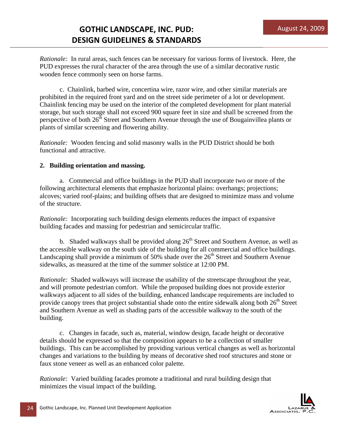*Rationale:* In rural areas, such fences can be necessary for various forms of livestock. Here, the PUD expresses the rural character of the area through the use of a similar decorative rustic wooden fence commonly seen on horse farms.

c. Chainlink, barbed wire, concertina wire, razor wire, and other similar materials are prohibited in the required front yard and on the street side perimeter of a lot or development. Chainlink fencing may be used on the interior of the completed development for plant material storage, but such storage shall not exceed 900 square feet in size and shall be screened from the perspective of both  $26<sup>th</sup>$  Street and Southern Avenue through the use of Bougainvillea plants or plants of similar screening and flowering ability.

*Rationale:* Wooden fencing and solid masonry walls in the PUD District should be both functional and attractive.

### **2. Building orientation and massing.**

a. Commercial and office buildings in the PUD shall incorporate two or more of the following architectural elements that emphasize horizontal plains: overhangs; projections; alcoves; varied roof-plains; and building offsets that are designed to minimize mass and volume of the structure.

*Rationale:* Incorporating such building design elements reduces the impact of expansive building facades and massing for pedestrian and semicircular traffic.

b. Shaded walkways shall be provided along  $26<sup>th</sup>$  Street and Southern Avenue, as well as the accessible walkway on the south side of the building for all commercial and office buildings. Landscaping shall provide a minimum of 50% shade over the  $26<sup>th</sup>$  Street and Southern Avenue sidewalks, as measured at the time of the summer solstice at 12:00 PM.

*Rationale:* Shaded walkways will increase the usability of the streetscape throughout the year, and will promote pedestrian comfort. While the proposed building does not provide exterior walkways adjacent to all sides of the building, enhanced landscape requirements are included to provide canopy trees that project substantial shade onto the entire sidewalk along both  $26<sup>th</sup>$  Street and Southern Avenue as well as shading parts of the accessible walkway to the south of the building.

c. Changes in facade, such as, material, window design, facade height or decorative details should be expressed so that the composition appears to be a collection of smaller buildings. This can be accomplished by providing various vertical changes as well as horizontal changes and variations to the building by means of decorative shed roof structures and stone or faux stone veneer as well as an enhanced color palette.

*Rationale:* Varied building facades promote a traditional and rural building design that minimizes the visual impact of the building.

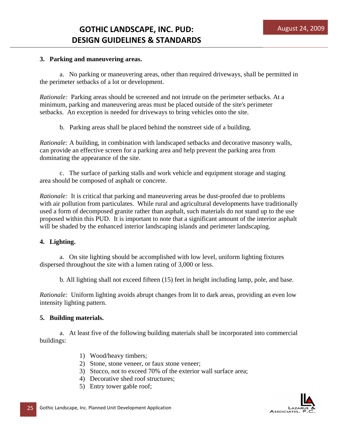### **3. Parking and maneuvering areas.**

 a. No parking or maneuvering areas, other than required driveways, shall be permitted in the perimeter setbacks of a lot or development.

*Rationale:* Parking areas should be screened and not intrude on the perimeter setbacks. At a minimum, parking and maneuvering areas must be placed outside of the site's perimeter setbacks. An exception is needed for driveways to bring vehicles onto the site.

b. Parking areas shall be placed behind the nonstreet side of a building.

*Rationale:* A building, in combination with landscaped setbacks and decorative masonry walls, can provide an effective screen for a parking area and help prevent the parking area from dominating the appearance of the site.

 c. The surface of parking stalls and work vehicle and equipment storage and staging area should be composed of asphalt or concrete.

*Rationale:* It is critical that parking and maneuvering areas be dust-proofed due to problems with air pollution from particulates. While rural and agricultural developments have traditionally used a form of decomposed granite rather than asphalt, such materials do not stand up to the use proposed within this PUD. It is important to note that a significant amount of the interior asphalt will be shaded by the enhanced interior landscaping islands and perimeter landscaping.

### **4. Lighting.**

 a. On site lighting should be accomplished with low level, uniform lighting fixtures dispersed throughout the site with a lumen rating of 3,000 or less.

b. All lighting shall not exceed fifteen (15) feet in height including lamp, pole, and base.

*Rationale:* Uniform lighting avoids abrupt changes from lit to dark areas, providing an even low intensity lighting pattern.

### **5. Building materials.**

 a. At least five of the following building materials shall be incorporated into commercial buildings:

- 1) Wood/heavy timbers;
- 2) Stone, stone veneer, or faux stone veneer;
- 3) Stucco, not to exceed 70% of the exterior wall surface area;
- 4) Decorative shed roof structures;
- 5) Entry tower gable roof;

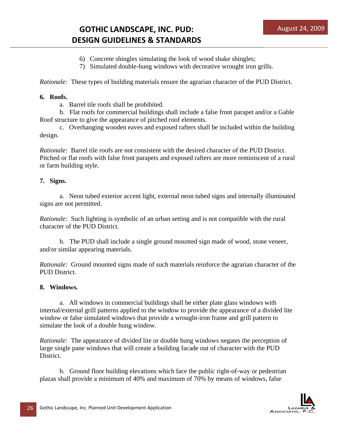# **GOTHIC LANDSCAPE, INC. PUD: DESIGN GUIDELINES & STANDARDS**

- 6) Concrete shingles simulating the look of wood shake shingles;
- 7) Simulated double-hung windows with decorative wrought iron grills.

*Rationale:* These types of building materials ensure the agrarian character of the PUD District.

#### **6. Roofs.**

a. Barrel tile roofs shall be prohibited.

 b. Flat roofs for commercial buildings shall include a false front parapet and/or a Gable Roof structure to give the appearance of pitched roof elements.

 c. Overhanging wooden eaves and exposed rafters shall be included within the building design.

*Rationale:* Barrel tile roofs are not consistent with the desired character of the PUD District. Pitched or flat roofs with false front parapets and exposed rafters are more reminiscent of a rural or farm building style.

#### **7. Signs.**

 a. Neon tubed exterior accent light, external neon tubed signs and internally illuminated signs are not permitted.

*Rationale:* Such lighting is symbolic of an urban setting and is not compatible with the rural character of the PUD District.

 b. The PUD shall include a single ground mounted sign made of wood, stone veneer, and/or similar appearing materials.

*Rationale:* Ground mounted signs made of such materials reinforce the agrarian character of the PUD District.

### **8. Windows.**

 a. All windows in commercial buildings shall be either plate glass windows with internal/external grill patterns applied to the window to provide the appearance of a divided lite window or false simulated windows that provide a wrought-iron frame and grill pattern to simulate the look of a double hung window.

*Rationale:* The appearance of divided lite or double hung windows negates the perception of large single pane windows that will create a building facade out of character with the PUD District.

 b. Ground floor building elevations which face the public right-of-way or pedestrian plazas shall provide a minimum of 40% and maximum of 70% by means of windows, false

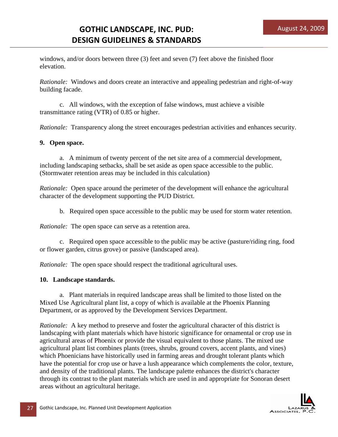windows, and/or doors between three (3) feet and seven (7) feet above the finished floor elevation.

*Rationale:* Windows and doors create an interactive and appealing pedestrian and right-of-way building facade.

 c. All windows, with the exception of false windows, must achieve a visible transmittance rating (VTR) of 0.85 or higher.

*Rationale:* Transparency along the street encourages pedestrian activities and enhances security.

#### **9. Open space.**

 a. A minimum of twenty percent of the net site area of a commercial development, including landscaping setbacks, shall be set aside as open space accessible to the public. (Stormwater retention areas may be included in this calculation)

*Rationale:* Open space around the perimeter of the development will enhance the agricultural character of the development supporting the PUD District.

b. Required open space accessible to the public may be used for storm water retention.

*Rationale:* The open space can serve as a retention area.

 c. Required open space accessible to the public may be active (pasture/riding ring, food or flower garden, citrus grove) or passive (landscaped area).

*Rationale:* The open space should respect the traditional agricultural uses.

#### **10. Landscape standards.**

 a. Plant materials in required landscape areas shall be limited to those listed on the Mixed Use Agricultural plant list, a copy of which is available at the Phoenix Planning Department, or as approved by the Development Services Department.

*Rationale:* A key method to preserve and foster the agricultural character of this district is landscaping with plant materials which have historic significance for ornamental or crop use in agricultural areas of Phoenix or provide the visual equivalent to those plants. The mixed use agricultural plant list combines plants (trees, shrubs, ground covers, accent plants, and vines) which Phoenicians have historically used in farming areas and drought tolerant plants which have the potential for crop use or have a lush appearance which complements the color, texture, and density of the traditional plants. The landscape palette enhances the district's character through its contrast to the plant materials which are used in and appropriate for Sonoran desert areas without an agricultural heritage.

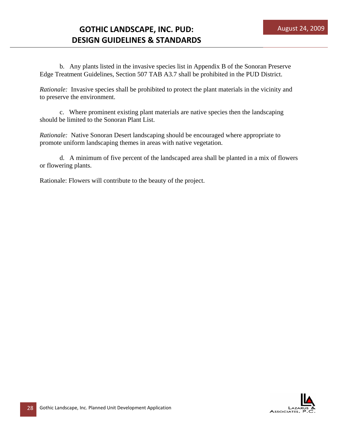b. Any plants listed in the invasive species list in Appendix B of the Sonoran Preserve Edge Treatment Guidelines, Section 507 TAB A3.7 shall be prohibited in the PUD District.

*Rationale:* Invasive species shall be prohibited to protect the plant materials in the vicinity and to preserve the environment.

 c. Where prominent existing plant materials are native species then the landscaping should be limited to the Sonoran Plant List.

*Rationale:* Native Sonoran Desert landscaping should be encouraged where appropriate to promote uniform landscaping themes in areas with native vegetation.

 d. A minimum of five percent of the landscaped area shall be planted in a mix of flowers or flowering plants.

Rationale: Flowers will contribute to the beauty of the project.

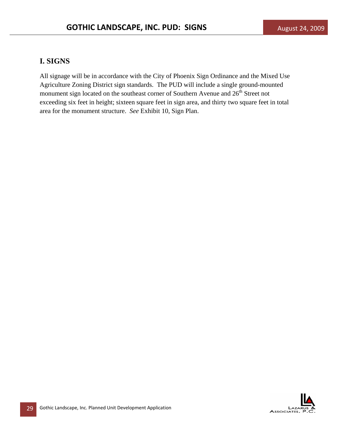## **I. SIGNS**

All signage will be in accordance with the City of Phoenix Sign Ordinance and the Mixed Use Agriculture Zoning District sign standards. The PUD will include a single ground-mounted monument sign located on the southeast corner of Southern Avenue and  $26<sup>th</sup>$  Street not exceeding six feet in height; sixteen square feet in sign area, and thirty two square feet in total area for the monument structure. *See* Exhibit 10, Sign Plan.

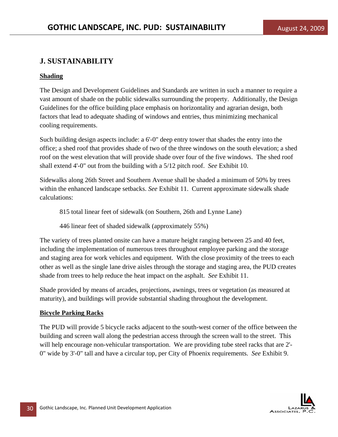## **J. SUSTAINABILITY**

### **Shading**

The Design and Development Guidelines and Standards are written in such a manner to require a vast amount of shade on the public sidewalks surrounding the property. Additionally, the Design Guidelines for the office building place emphasis on horizontality and agrarian design, both factors that lead to adequate shading of windows and entries, thus minimizing mechanical cooling requirements.

Such building design aspects include: a 6'-0" deep entry tower that shades the entry into the office; a shed roof that provides shade of two of the three windows on the south elevation; a shed roof on the west elevation that will provide shade over four of the five windows. The shed roof shall extend 4'-0" out from the building with a 5/12 pitch roof. *See* Exhibit 10.

Sidewalks along 26th Street and Southern Avenue shall be shaded a minimum of 50% by trees within the enhanced landscape setbacks. *See* Exhibit 11. Current approximate sidewalk shade calculations:

815 total linear feet of sidewalk (on Southern, 26th and Lynne Lane)

446 linear feet of shaded sidewalk (approximately 55%)

The variety of trees planted onsite can have a mature height ranging between 25 and 40 feet, including the implementation of numerous trees throughout employee parking and the storage and staging area for work vehicles and equipment. With the close proximity of the trees to each other as well as the single lane drive aisles through the storage and staging area, the PUD creates shade from trees to help reduce the heat impact on the asphalt. *See* Exhibit 11.

Shade provided by means of arcades, projections, awnings, trees or vegetation (as measured at maturity), and buildings will provide substantial shading throughout the development.

### **Bicycle Parking Racks**

The PUD will provide 5 bicycle racks adjacent to the south-west corner of the office between the building and screen wall along the pedestrian access through the screen wall to the street. This will help encourage non-vehicular transportation. We are providing tube steel racks that are 2'- 0" wide by 3'-0" tall and have a circular top, per City of Phoenix requirements. *See* Exhibit 9.

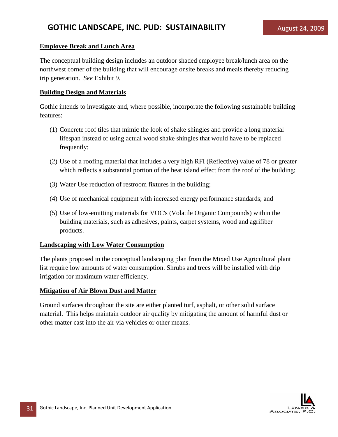### **Employee Break and Lunch Area**

The conceptual building design includes an outdoor shaded employee break/lunch area on the northwest corner of the building that will encourage onsite breaks and meals thereby reducing trip generation. *See* Exhibit 9.

### **Building Design and Materials**

Gothic intends to investigate and, where possible, incorporate the following sustainable building features:

- (1) Concrete roof tiles that mimic the look of shake shingles and provide a long material lifespan instead of using actual wood shake shingles that would have to be replaced frequently;
- (2) Use of a roofing material that includes a very high RFI (Reflective) value of 78 or greater which reflects a substantial portion of the heat island effect from the roof of the building;
- (3) Water Use reduction of restroom fixtures in the building;
- (4) Use of mechanical equipment with increased energy performance standards; and
- (5) Use of low-emitting materials for VOC's (Volatile Organic Compounds) within the building materials, such as adhesives, paints, carpet systems, wood and agrifiber products.

### **Landscaping with Low Water Consumption**

The plants proposed in the conceptual landscaping plan from the Mixed Use Agricultural plant list require low amounts of water consumption. Shrubs and trees will be installed with drip irrigation for maximum water efficiency.

### **Mitigation of Air Blown Dust and Matter**

Ground surfaces throughout the site are either planted turf, asphalt, or other solid surface material. This helps maintain outdoor air quality by mitigating the amount of harmful dust or other matter cast into the air via vehicles or other means.

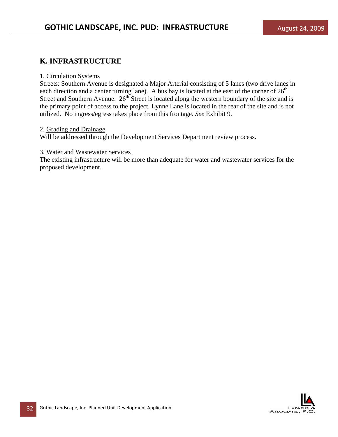## **K. INFRASTRUCTURE**

#### 1. Circulation Systems

Streets: Southern Avenue is designated a Major Arterial consisting of 5 lanes (two drive lanes in each direction and a center turning lane). A bus bay is located at the east of the corner of  $26<sup>th</sup>$ Street and Southern Avenue.  $26<sup>th</sup>$  Street is located along the western boundary of the site and is the primary point of access to the project. Lynne Lane is located in the rear of the site and is not utilized. No ingress/egress takes place from this frontage. *See* Exhibit 9.

#### 2. Grading and Drainage

Will be addressed through the Development Services Department review process.

#### 3. Water and Wastewater Services

The existing infrastructure will be more than adequate for water and wastewater services for the proposed development.